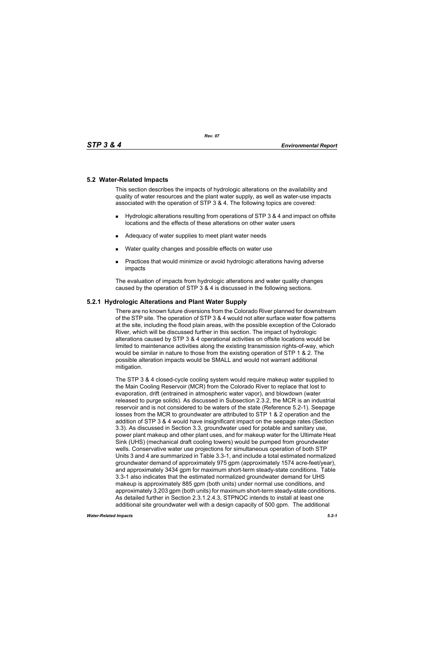## **5.2 Water-Related Impacts**

This section describes the impacts of hydrologic alterations on the availability and quality of water resources and the plant water supply, as well as water-use impacts associated with the operation of STP 3 & 4. The following topics are covered:

- Hydrologic alterations resulting from operations of STP 3 & 4 and impact on offsite locations and the effects of these alterations on other water users
- Adequacy of water supplies to meet plant water needs
- Water quality changes and possible effects on water use
- **Practices that would minimize or avoid hydrologic alterations having adverse** impacts

The evaluation of impacts from hydrologic alterations and water quality changes caused by the operation of STP 3 & 4 is discussed in the following sections.

## **5.2.1 Hydrologic Alterations and Plant Water Supply**

There are no known future diversions from the Colorado River planned for downstream of the STP site. The operation of STP 3 & 4 would not alter surface water flow patterns at the site, including the flood plain areas, with the possible exception of the Colorado River, which will be discussed further in this section. The impact of hydrologic alterations caused by STP 3 & 4 operational activities on offsite locations would be limited to maintenance activities along the existing transmission rights-of-way, which would be similar in nature to those from the existing operation of STP 1 & 2. The possible alteration impacts would be SMALL and would not warrant additional mitigation.

The STP 3 & 4 closed-cycle cooling system would require makeup water supplied to the Main Cooling Reservoir (MCR) from the Colorado River to replace that lost to evaporation, drift (entrained in atmospheric water vapor), and blowdown (water released to purge solids). As discussed in Subsection 2.3.2, the MCR is an industrial reservoir and is not considered to be waters of the state (Reference 5.2-1). Seepage losses from the MCR to groundwater are attributed to STP 1 & 2 operation and the addition of STP 3 & 4 would have insignificant impact on the seepage rates (Section 3.3). As discussed in Section 3.3, groundwater used for potable and sanitary use, power plant makeup and other plant uses, and for makeup water for the Ultimate Heat Sink (UHS) (mechanical draft cooling towers) would be pumped from groundwater wells. Conservative water use projections for simultaneous operation of both STP Units 3 and 4 are summarized in Table 3.3-1, and include a total estimated normalized groundwater demand of approximately 975 gpm (approximately 1574 acre-feet/year), and approximately 3434 gpm for maximum short-term steady-state conditions. Table 3.3-1 also indicates that the estimated normalized groundwater demand for UHS makeup is approximately 885 gpm (both units) under normal use conditions, and approximately 3,203 gpm (both units) for maximum short-term steady-state conditions. As detailed further in Section 2.3.1.2.4.3, STPNOC intends to install at least one additional site groundwater well with a design capacity of 500 gpm. The additional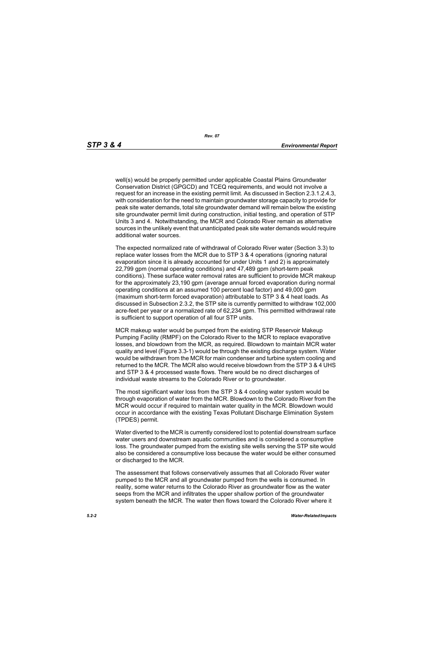well(s) would be properly permitted under applicable Coastal Plains Groundwater Conservation District (GPGCD) and TCEQ requirements, and would not involve a request for an increase in the existing permit limit. As discussed in Section 2.3.1.2.4.3, with consideration for the need to maintain groundwater storage capacity to provide for peak site water demands, total site groundwater demand will remain below the existing site groundwater permit limit during construction, initial testing, and operation of STP Units 3 and 4. Notwithstanding, the MCR and Colorado River remain as alternative sources in the unlikely event that unanticipated peak site water demands would require additional water sources.

The expected normalized rate of withdrawal of Colorado River water (Section 3.3) to replace water losses from the MCR due to STP 3 & 4 operations (ignoring natural evaporation since it is already accounted for under Units 1 and 2) is approximately 22,799 gpm (normal operating conditions) and 47,489 gpm (short-term peak conditions). These surface water removal rates are sufficient to provide MCR makeup for the approximately 23,190 gpm (average annual forced evaporation during normal operating conditions at an assumed 100 percent load factor) and 49,000 gpm (maximum short-term forced evaporation) attributable to STP 3 & 4 heat loads. As discussed in Subsection 2.3.2, the STP site is currently permitted to withdraw 102,000 acre-feet per year or a normalized rate of 62,234 gpm. This permitted withdrawal rate is sufficient to support operation of all four STP units.

MCR makeup water would be pumped from the existing STP Reservoir Makeup Pumping Facility (RMPF) on the Colorado River to the MCR to replace evaporative losses, and blowdown from the MCR, as required. Blowdown to maintain MCR water quality and level (Figure 3.3-1) would be through the existing discharge system. Water would be withdrawn from the MCR for main condenser and turbine system cooling and returned to the MCR. The MCR also would receive blowdown from the STP 3 & 4 UHS and STP 3 & 4 processed waste flows. There would be no direct discharges of individual waste streams to the Colorado River or to groundwater*.*

The most significant water loss from the STP 3 & 4 cooling water system would be through evaporation of water from the MCR. Blowdown to the Colorado River from the MCR would occur if required to maintain water quality in the MCR. Blowdown would occur in accordance with the existing Texas Pollutant Discharge Elimination System (TPDES) permit.

Water diverted to the MCR is currently considered lost to potential downstream surface water users and downstream aquatic communities and is considered a consumptive loss. The groundwater pumped from the existing site wells serving the STP site would also be considered a consumptive loss because the water would be either consumed or discharged to the MCR.

The assessment that follows conservatively assumes that all Colorado River water pumped to the MCR and all groundwater pumped from the wells is consumed. In reality, some water returns to the Colorado River as groundwater flow as the water seeps from the MCR and infiltrates the upper shallow portion of the groundwater system beneath the MCR. The water then flows toward the Colorado River where it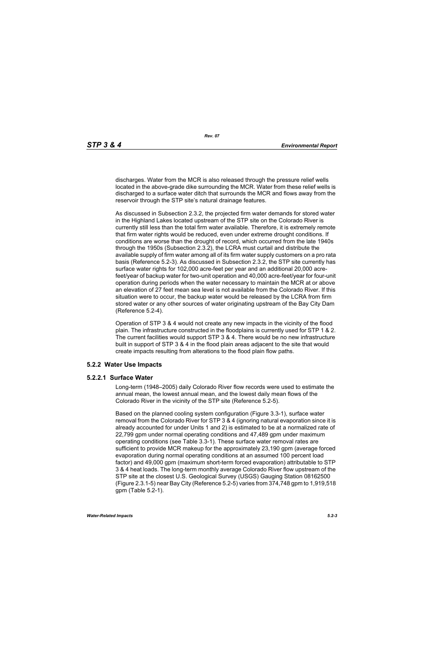discharges. Water from the MCR is also released through the pressure relief wells located in the above-grade dike surrounding the MCR. Water from these relief wells is discharged to a surface water ditch that surrounds the MCR and flows away from the reservoir through the STP site's natural drainage features.

As discussed in Subsection 2.3.2, the projected firm water demands for stored water in the Highland Lakes located upstream of the STP site on the Colorado River is currently still less than the total firm water available. Therefore, it is extremely remote that firm water rights would be reduced, even under extreme drought conditions. If conditions are worse than the drought of record, which occurred from the late 1940s through the 1950s (Subsection 2.3.2), the LCRA must curtail and distribute the available supply of firm water among all of its firm water supply customers on a pro rata basis (Reference 5.2-3). As discussed in Subsection 2.3.2, the STP site currently has surface water rights for 102,000 acre-feet per year and an additional 20,000 acrefeet/year of backup water for two-unit operation and 40,000 acre-feet/year for four-unit operation during periods when the water necessary to maintain the MCR at or above an elevation of 27 feet mean sea level is not available from the Colorado River. If this situation were to occur, the backup water would be released by the LCRA from firm stored water or any other sources of water originating upstream of the Bay City Dam (Reference 5.2-4).

Operation of STP 3 & 4 would not create any new impacts in the vicinity of the flood plain. The infrastructure constructed in the floodplains is currently used for STP 1 & 2. The current facilities would support STP 3 & 4. There would be no new infrastructure built in support of STP 3 & 4 in the flood plain areas adjacent to the site that would create impacts resulting from alterations to the flood plain flow paths.

# **5.2.2 Water Use Impacts**

#### **5.2.2.1 Surface Water**

Long-term (1948–2005) daily Colorado River flow records were used to estimate the annual mean, the lowest annual mean, and the lowest daily mean flows of the Colorado River in the vicinity of the STP site (Reference 5.2-5).

Based on the planned cooling system configuration (Figure 3.3-1), surface water removal from the Colorado River for STP 3 & 4 (ignoring natural evaporation since it is already accounted for under Units 1 and 2) is estimated to be at a normalized rate of 22,799 gpm under normal operating conditions and 47,489 gpm under maximum operating conditions (see Table 3.3-1). These surface water removal rates are sufficient to provide MCR makeup for the approximately 23,190 gpm (average forced evaporation during normal operating conditions at an assumed 100 percent load factor) and 49,000 gpm (maximum short-term forced evaporation) attributable to STP 3 & 4 heat loads. The long-term monthly average Colorado River flow upstream of the STP site at the closest U.S. Geological Survey (USGS) Gauging Station 08162500 (Figure 2.3.1-5) near Bay City (Reference 5.2-5) varies from 374,748 gpm to 1,919,518 gpm (Table 5.2-1).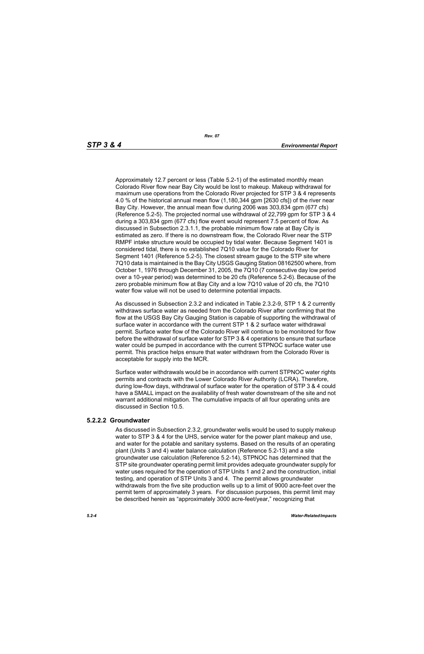Approximately 12.7 percent or less (Table 5.2-1) of the estimated monthly mean Colorado River flow near Bay City would be lost to makeup. Makeup withdrawal for maximum use operations from the Colorado River projected for STP 3 & 4 represents 4.0 % of the historical annual mean flow (1,180,344 gpm [2630 cfs]) of the river near Bay City. However, the annual mean flow during 2006 was 303,834 gpm (677 cfs) (Reference 5.2-5). The projected normal use withdrawal of 22,799 gpm for STP 3 & 4 during a 303,834 gpm (677 cfs) flow event would represent 7.5 percent of flow. As discussed in Subsection 2.3.1.1, the probable minimum flow rate at Bay City is estimated as zero. If there is no downstream flow, the Colorado River near the STP RMPF intake structure would be occupied by tidal water. Because Segment 1401 is considered tidal, there is no established 7Q10 value for the Colorado River for Segment 1401 (Reference 5.2-5). The closest stream gauge to the STP site where 7Q10 data is maintained is the Bay City USGS Gauging Station 08162500 where, from October 1, 1976 through December 31, 2005, the 7Q10 (7 consecutive day low period over a 10-year period) was determined to be 20 cfs (Reference 5.2-6). Because of the zero probable minimum flow at Bay City and a low 7Q10 value of 20 cfs, the 7Q10 water flow value will not be used to determine potential impacts.

As discussed in Subsection 2.3.2 and indicated in Table 2.3.2-9, STP 1 & 2 currently withdraws surface water as needed from the Colorado River after confirming that the flow at the USGS Bay City Gauging Station is capable of supporting the withdrawal of surface water in accordance with the current STP 1 & 2 surface water withdrawal permit. Surface water flow of the Colorado River will continue to be monitored for flow before the withdrawal of surface water for STP 3 & 4 operations to ensure that surface water could be pumped in accordance with the current STPNOC surface water use permit. This practice helps ensure that water withdrawn from the Colorado River is acceptable for supply into the MCR.

Surface water withdrawals would be in accordance with current STPNOC water rights permits and contracts with the Lower Colorado River Authority (LCRA). Therefore, during low-flow days, withdrawal of surface water for the operation of STP 3 & 4 could have a SMALL impact on the availability of fresh water downstream of the site and not warrant additional mitigation. The cumulative impacts of all four operating units are discussed in Section 10.5.

#### **5.2.2.2 Groundwater**

As discussed in Subsection 2.3.2, groundwater wells would be used to supply makeup water to STP 3 & 4 for the UHS, service water for the power plant makeup and use. and water for the potable and sanitary systems. Based on the results of an operating plant (Units 3 and 4) water balance calculation (Reference 5.2-13) and a site groundwater use calculation (Reference 5.2-14), STPNOC has determined that the STP site groundwater operating permit limit provides adequate groundwater supply for water uses required for the operation of STP Units 1 and 2 and the construction, initial testing, and operation of STP Units 3 and 4. The permit allows groundwater withdrawals from the five site production wells up to a limit of 9000 acre-feet over the permit term of approximately 3 years. For discussion purposes, this permit limit may be described herein as "approximately 3000 acre-feet/year," recognizing that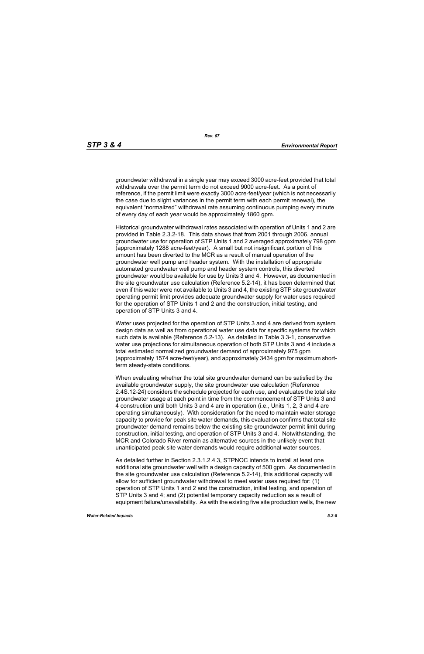groundwater withdrawal in a single year may exceed 3000 acre-feet provided that total withdrawals over the permit term do not exceed 9000 acre-feet. As a point of reference, if the permit limit were exactly 3000 acre-feet/year (which is not necessarily the case due to slight variances in the permit term with each permit renewal), the equivalent "normalized" withdrawal rate assuming continuous pumping every minute of every day of each year would be approximately 1860 gpm.

Historical groundwater withdrawal rates associated with operation of Units 1 and 2 are provided in Table 2.3.2-18. This data shows that from 2001 through 2006, annual groundwater use for operation of STP Units 1 and 2 averaged approximately 798 gpm (approximately 1288 acre-feet/year). A small but not insignificant portion of this amount has been diverted to the MCR as a result of manual operation of the groundwater well pump and header system. With the installation of appropriate automated groundwater well pump and header system controls, this diverted groundwater would be available for use by Units 3 and 4. However, as documented in the site groundwater use calculation (Reference 5.2-14), it has been determined that even if this water were not available to Units 3 and 4, the existing STP site groundwater operating permit limit provides adequate groundwater supply for water uses required for the operation of STP Units 1 and 2 and the construction, initial testing, and operation of STP Units 3 and 4.

Water uses projected for the operation of STP Units 3 and 4 are derived from system design data as well as from operational water use data for specific systems for which such data is available (Reference 5.2-13). As detailed in Table 3.3-1, conservative water use projections for simultaneous operation of both STP Units 3 and 4 include a total estimated normalized groundwater demand of approximately 975 gpm (approximately 1574 acre-feet/year), and approximately 3434 gpm for maximum shortterm steady-state conditions.

When evaluating whether the total site groundwater demand can be satisfied by the available groundwater supply, the site groundwater use calculation (Reference 2.4S.12-24) considers the schedule projected for each use, and evaluates the total site groundwater usage at each point in time from the commencement of STP Units 3 and 4 construction until both Units 3 and 4 are in operation (i.e., Units 1, 2, 3 and 4 are operating simultaneously). With consideration for the need to maintain water storage capacity to provide for peak site water demands, this evaluation confirms that total site groundwater demand remains below the existing site groundwater permit limit during construction, initial testing, and operation of STP Units 3 and 4. Notwithstanding, the MCR and Colorado River remain as alternative sources in the unlikely event that unanticipated peak site water demands would require additional water sources.

As detailed further in Section 2.3.1.2.4.3, STPNOC intends to install at least one additional site groundwater well with a design capacity of 500 gpm. As documented in the site groundwater use calculation (Reference 5.2-14), this additional capacity will allow for sufficient groundwater withdrawal to meet water uses required for: (1) operation of STP Units 1 and 2 and the construction, initial testing, and operation of STP Units 3 and 4; and (2) potential temporary capacity reduction as a result of equipment failure/unavailability. As with the existing five site production wells, the new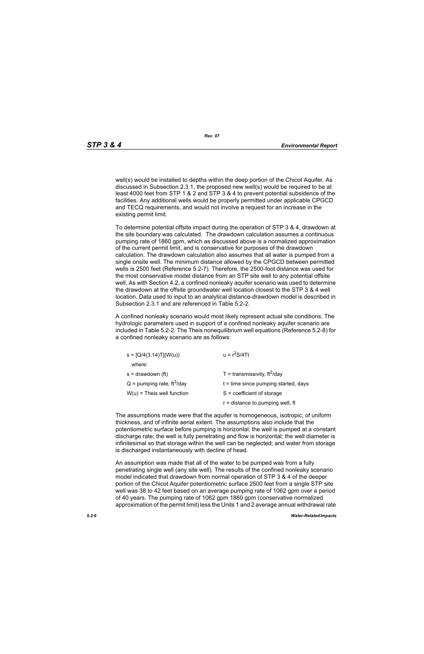well(s) would be installed to depths within the deep portion of the Chicot Aquifer. As discussed in Subsection 2.3.1, the proposed new well(s) would be required to be at least 4000 feet from STP 1 & 2 and STP 3 & 4 to prevent potential subsidence of the facilities. Any additional wells would be properly permitted under applicable CPGCD and TECQ requirements, and would not involve a request for an increase in the existing permit limit.

To determine potential offsite impact during the operation of STP 3 & 4, drawdown at the site boundary was calculated. The drawdown calculation assumes a continuous pumping rate of 1860 gpm, which as discussed above is a normalized approximation of the current permit limit, and is conservative for purposes of the drawdown calculation. The drawdown calculation also assumes that all water is pumped from a single onsite well. The minimum distance allowed by the CPGCD between permitted wells is 2500 feet (Reference 5.2-7). Therefore, the 2500-foot distance was used for the most conservative model distance from an STP site well to any potential offsite well. As with Section 4.2, a confined nonleaky aquifer scenario was used to determine the drawdown at the offsite groundwater well location closest to the STP 3 & 4 well location. Data used to input to an analytical distance-drawdown model is described in Subsection 2.3.1 and are referenced in Table 5.2-2.

A confined nonleaky scenario would most likely represent actual site conditions. The hydrologic parameters used in support of a confined nonleaky aquifer scenario are included in Table 5.2-2. The Theis nonequilibrium well equations (Reference 5.2-8) for a confined nonleaky scenario are as follows:

| $s = [Q/4(3.14)T](W(u))$                 | $u = r^2S/4Tt$                         |  |  |
|------------------------------------------|----------------------------------------|--|--|
| where:                                   |                                        |  |  |
| $s =$ drawdown (ft)                      | T = transmissivity, $ft^2$ /day        |  |  |
| $Q =$ pumping rate, ft <sup>3</sup> /day | $t =$ time since pumping started, days |  |  |
| $W(u)$ = Theis well function             | $S = coefficient of storage$           |  |  |
|                                          | $r =$ distance to pumping well, ft     |  |  |

The assumptions made were that the aquifer is homogeneous, isotropic, of uniform thickness, and of infinite aerial extent. The assumptions also include that the potentiometric surface before pumping is horizontal; the well is pumped at a constant discharge rate; the well is fully penetrating and flow is horizontal; the well diameter is infinitesimal so that storage within the well can be neglected; and water from storage is discharged instantaneously with decline of head.

An assumption was made that all of the water to be pumped was from a fully penetrating single well (any site well). The results of the confined nonleaky scenario model indicated that drawdown from normal operation of STP 3 & 4 of the deeper portion of the Chicot Aquifer potentiometric surface 2500 feet from a single STP site well was 38 to 42 feet based on an average pumping rate of 1062 gpm over a period of 40 years. The pumping rate of 1062 gpm 1860 gpm (conservative normalized approximation of the permit limit) less the Units 1 and 2 average annual withdrawal rate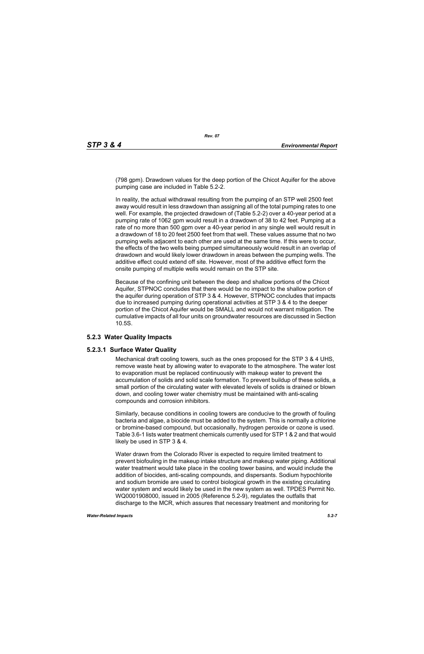(798 gpm). Drawdown values for the deep portion of the Chicot Aquifer for the above pumping case are included in Table 5.2-2.

In reality, the actual withdrawal resulting from the pumping of an STP well 2500 feet away would result in less drawdown than assigning all of the total pumping rates to one well. For example, the projected drawdown of (Table 5.2-2) over a 40-year period at a pumping rate of 1062 gpm would result in a drawdown of 38 to 42 feet. Pumping at a rate of no more than 500 gpm over a 40-year period in any single well would result in a drawdown of 18 to 20 feet 2500 feet from that well. These values assume that no two pumping wells adjacent to each other are used at the same time. If this were to occur, the effects of the two wells being pumped simultaneously would result in an overlap of drawdown and would likely lower drawdown in areas between the pumping wells. The additive effect could extend off site. However, most of the additive effect form the onsite pumping of multiple wells would remain on the STP site.

Because of the confining unit between the deep and shallow portions of the Chicot Aquifer, STPNOC concludes that there would be no impact to the shallow portion of the aquifer during operation of STP 3 & 4. However, STPNOC concludes that impacts due to increased pumping during operational activities at STP 3 & 4 to the deeper portion of the Chicot Aquifer would be SMALL and would not warrant mitigation. The cumulative impacts of all four units on groundwater resources are discussed in Section 10.5S.

# **5.2.3 Water Quality Impacts**

#### **5.2.3.1 Surface Water Quality**

Mechanical draft cooling towers, such as the ones proposed for the STP 3 & 4 UHS, remove waste heat by allowing water to evaporate to the atmosphere. The water lost to evaporation must be replaced continuously with makeup water to prevent the accumulation of solids and solid scale formation. To prevent buildup of these solids, a small portion of the circulating water with elevated levels of solids is drained or blown down, and cooling tower water chemistry must be maintained with anti-scaling compounds and corrosion inhibitors.

Similarly, because conditions in cooling towers are conducive to the growth of fouling bacteria and algae, a biocide must be added to the system. This is normally a chlorine or bromine-based compound, but occasionally, hydrogen peroxide or ozone is used. Table 3.6-1 lists water treatment chemicals currently used for STP 1 & 2 and that would likely be used in STP 3 & 4.

Water drawn from the Colorado River is expected to require limited treatment to prevent biofouling in the makeup intake structure and makeup water piping. Additional water treatment would take place in the cooling tower basins, and would include the addition of biocides, anti-scaling compounds, and dispersants. Sodium hypochlorite and sodium bromide are used to control biological growth in the existing circulating water system and would likely be used in the new system as well. TPDES Permit No. WQ0001908000, issued in 2005 (Reference 5.2-9), regulates the outfalls that discharge to the MCR, which assures that necessary treatment and monitoring for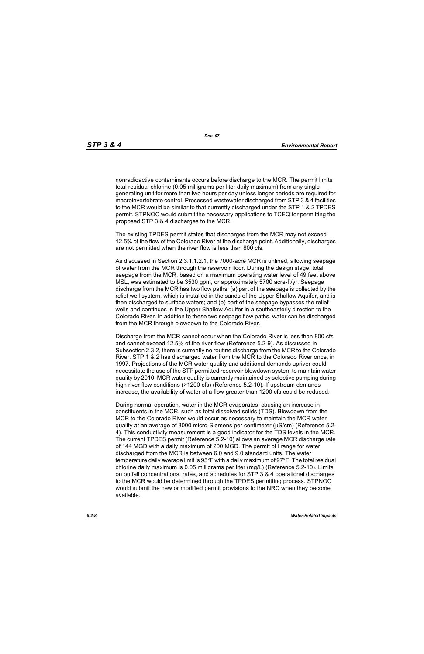nonradioactive contaminants occurs before discharge to the MCR. The permit limits total residual chlorine (0.05 milligrams per liter daily maximum) from any single generating unit for more than two hours per day unless longer periods are required for macroinvertebrate control. Processed wastewater discharged from STP 3 & 4 facilities to the MCR would be similar to that currently discharged under the STP 1 & 2 TPDES permit. STPNOC would submit the necessary applications to TCEQ for permitting the proposed STP 3 & 4 discharges to the MCR.

The existing TPDES permit states that discharges from the MCR may not exceed 12.5% of the flow of the Colorado River at the discharge point. Additionally, discharges are not permitted when the river flow is less than 800 cfs.

As discussed in Section 2.3.1.1.2.1, the 7000-acre MCR is unlined, allowing seepage of water from the MCR through the reservoir floor. During the design stage, total seepage from the MCR, based on a maximum operating water level of 49 feet above MSL, was estimated to be 3530 gpm, or approximately 5700 acre-ft/yr. Seepage discharge from the MCR has two flow paths: (a) part of the seepage is collected by the relief well system, which is installed in the sands of the Upper Shallow Aquifer, and is then discharged to surface waters; and (b) part of the seepage bypasses the relief wells and continues in the Upper Shallow Aquifer in a southeasterly direction to the Colorado River. In addition to these two seepage flow paths, water can be discharged from the MCR through blowdown to the Colorado River.

Discharge from the MCR cannot occur when the Colorado River is less than 800 cfs and cannot exceed 12.5% of the river flow (Reference 5.2-9). As discussed in Subsection 2.3.2, there is currently no routine discharge from the MCR to the Colorado River. STP 1 & 2 has discharged water from the MCR to the Colorado River once, in 1997. Projections of the MCR water quality and additional demands upriver could necessitate the use of the STP permitted reservoir blowdown system to maintain water quality by 2010. MCR water quality is currently maintained by selective pumping during high river flow conditions (>1200 cfs) (Reference 5.2-10). If upstream demands increase, the availability of water at a flow greater than 1200 cfs could be reduced.

During normal operation, water in the MCR evaporates, causing an increase in constituents in the MCR, such as total dissolved solids (TDS). Blowdown from the MCR to the Colorado River would occur as necessary to maintain the MCR water quality at an average of 3000 micro-Siemens per centimeter (µS/cm) (Reference 5.2- 4). This conductivity measurement is a good indicator for the TDS levels in the MCR. The current TPDES permit (Reference 5.2-10) allows an average MCR discharge rate of 144 MGD with a daily maximum of 200 MGD. The permit pH range for water discharged from the MCR is between 6.0 and 9.0 standard units. The water temperature daily average limit is 95°F with a daily maximum of 97°F. The total residual chlorine daily maximum is 0.05 milligrams per liter (mg/L) (Reference 5.2-10). Limits on outfall concentrations, rates, and schedules for STP 3 & 4 operational discharges to the MCR would be determined through the TPDES permitting process. STPNOC would submit the new or modified permit provisions to the NRC when they become available.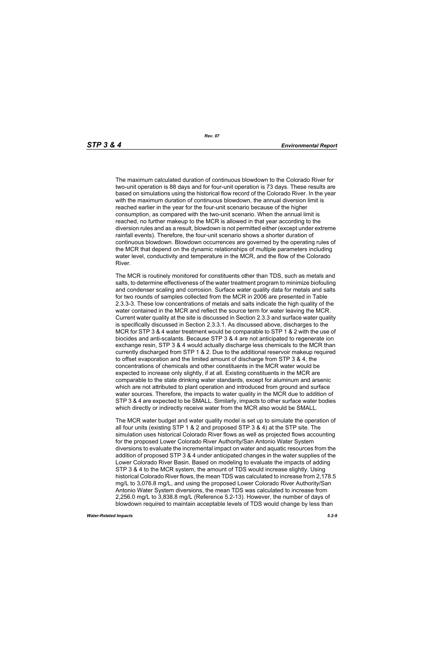The maximum calculated duration of continuous blowdown to the Colorado River for two-unit operation is 88 days and for four-unit operation is 73 days. These results are based on simulations using the historical flow record of the Colorado River. In the year with the maximum duration of continuous blowdown, the annual diversion limit is reached earlier in the year for the four-unit scenario because of the higher consumption, as compared with the two-unit scenario. When the annual limit is reached, no further makeup to the MCR is allowed in that year according to the diversion rules and as a result, blowdown is not permitted either (except under extreme rainfall events). Therefore, the four-unit scenario shows a shorter duration of continuous blowdown. Blowdown occurrences are governed by the operating rules of the MCR that depend on the dynamic relationships of multiple parameters including water level, conductivity and temperature in the MCR, and the flow of the Colorado River.

The MCR is routinely monitored for constituents other than TDS, such as metals and salts, to determine effectiveness of the water treatment program to minimize biofouling and condenser scaling and corrosion. Surface water quality data for metals and salts for two rounds of samples collected from the MCR in 2006 are presented in Table 2.3.3-3. These low concentrations of metals and salts indicate the high quality of the water contained in the MCR and reflect the source term for water leaving the MCR. Current water quality at the site is discussed in Section 2.3.3 and surface water quality is specifically discussed in Section 2.3.3.1. As discussed above, discharges to the MCR for STP 3 & 4 water treatment would be comparable to STP 1 & 2 with the use of biocides and anti-scalants. Because STP 3 & 4 are not anticipated to regenerate ion exchange resin, STP 3 & 4 would actually discharge less chemicals to the MCR than currently discharged from STP 1 & 2. Due to the additional reservoir makeup required to offset evaporation and the limited amount of discharge from STP 3 & 4, the concentrations of chemicals and other constituents in the MCR water would be expected to increase only slightly, if at all. Existing constituents in the MCR are comparable to the state drinking water standards, except for aluminum and arsenic which are not attributed to plant operation and introduced from ground and surface water sources. Therefore, the impacts to water quality in the MCR due to addition of STP 3 & 4 are expected to be SMALL. Similarly, impacts to other surface water bodies which directly or indirectly receive water from the MCR also would be SMALL.

The MCR water budget and water quality model is set up to simulate the operation of all four units (existing STP 1 & 2 and proposed STP 3 & 4) at the STP site. The simulation uses historical Colorado River flows as well as projected flows accounting for the proposed Lower Colorado River Authority/San Antonio Water System diversions to evaluate the incremental impact on water and aquatic resources from the addition of proposed STP 3 & 4 under anticipated changes in the water supplies of the Lower Colorado River Basin. Based on modeling to evaluate the impacts of adding STP 3 & 4 to the MCR system, the amount of TDS would increase slightly. Using historical Colorado River flows, the mean TDS was calculated to increase from 2,178.5 mg/L to 3,076.8 mg/L, and using the proposed Lower Colorado River Authority/San Antonio Water System diversions, the mean TDS was calculated to increase from 2,256.0 mg/L to 3,838.8 mg/L (Reference 5.2-13). However, the number of days of blowdown required to maintain acceptable levels of TDS would change by less than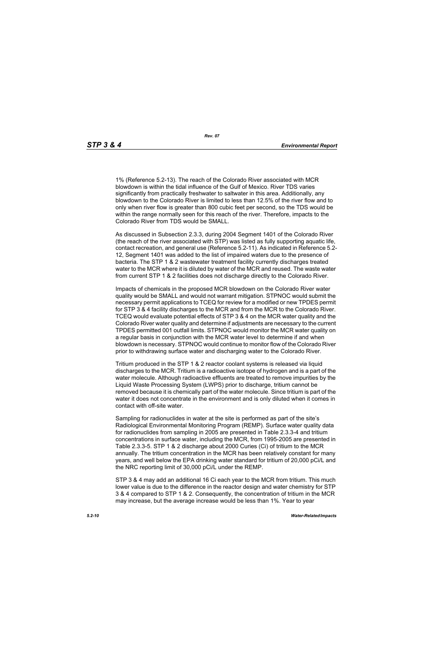*Rev. 07*

1% (Reference 5.2-13). The reach of the Colorado River associated with MCR blowdown is within the tidal influence of the Gulf of Mexico. River TDS varies significantly from practically freshwater to saltwater in this area. Additionally, any blowdown to the Colorado River is limited to less than 12.5% of the river flow and to only when river flow is greater than 800 cubic feet per second, so the TDS would be within the range normally seen for this reach of the river. Therefore, impacts to the Colorado River from TDS would be SMALL.

As discussed in Subsection 2.3.3, during 2004 Segment 1401 of the Colorado River (the reach of the river associated with STP) was listed as fully supporting aquatic life, contact recreation, and general use (Reference 5.2-11). As indicated in Reference 5.2- 12, Segment 1401 was added to the list of impaired waters due to the presence of bacteria. The STP 1 & 2 wastewater treatment facility currently discharges treated water to the MCR where it is diluted by water of the MCR and reused. The waste water from current STP 1 & 2 facilities does not discharge directly to the Colorado River.

Impacts of chemicals in the proposed MCR blowdown on the Colorado River water quality would be SMALL and would not warrant mitigation. STPNOC would submit the necessary permit applications to TCEQ for review for a modified or new TPDES permit for STP 3 & 4 facility discharges to the MCR and from the MCR to the Colorado River. TCEQ would evaluate potential effects of STP 3 & 4 on the MCR water quality and the Colorado River water quality and determine if adjustments are necessary to the current TPDES permitted 001 outfall limits. STPNOC would monitor the MCR water quality on a regular basis in conjunction with the MCR water level to determine if and when blowdown is necessary. STPNOC would continue to monitor flow of the Colorado River prior to withdrawing surface water and discharging water to the Colorado River.

Tritium produced in the STP 1 & 2 reactor coolant systems is released via liquid discharges to the MCR. Tritium is a radioactive isotope of hydrogen and is a part of the water molecule. Although radioactive effluents are treated to remove impurities by the Liquid Waste Processing System (LWPS) prior to discharge, tritium cannot be removed because it is chemically part of the water molecule. Since tritium is part of the water it does not concentrate in the environment and is only diluted when it comes in contact with off-site water.

Sampling for radionuclides in water at the site is performed as part of the site's Radiological Environmental Monitoring Program (REMP). Surface water quality data for radionuclides from sampling in 2005 are presented in Table 2.3.3-4 and tritium concentrations in surface water, including the MCR, from 1995-2005 are presented in Table 2.3.3-5. STP 1 & 2 discharge about 2000 Curies (Ci) of tritium to the MCR annually. The tritium concentration in the MCR has been relatively constant for many years, and well below the EPA drinking water standard for tritium of 20,000 pCi/L and the NRC reporting limit of 30,000 pCi/L under the REMP.

STP 3 & 4 may add an additional 16 Ci each year to the MCR from tritium. This much lower value is due to the difference in the reactor design and water chemistry for STP 3 & 4 compared to STP 1 & 2. Consequently, the concentration of tritium in the MCR may increase, but the average increase would be less than 1%. Year to year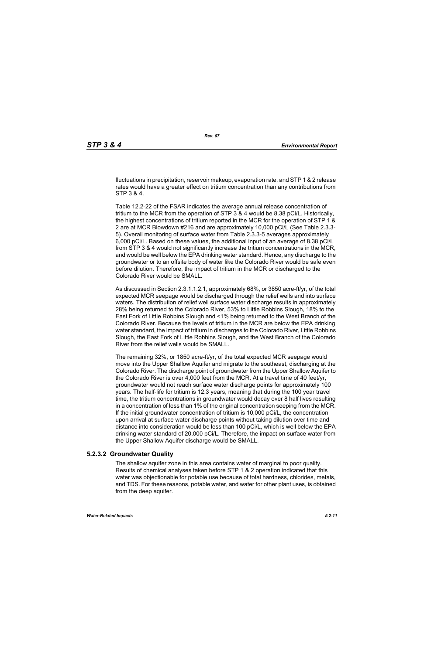fluctuations in precipitation, reservoir makeup, evaporation rate, and STP 1 & 2 release rates would have a greater effect on tritium concentration than any contributions from STP 3 & 4.

Table 12.2-22 of the FSAR indicates the average annual release concentration of tritium to the MCR from the operation of STP 3 & 4 would be 8.38 pCi/L. Historically, the highest concentrations of tritium reported in the MCR for the operation of STP 1 & 2 are at MCR Blowdown #216 and are approximately 10,000 pCi/L (See Table 2.3.3- 5). Overall monitoring of surface water from Table 2.3.3-5 averages approximately 6,000 pCi/L. Based on these values, the additional input of an average of 8.38 pCi/L from STP 3 & 4 would not significantly increase the tritium concentrations in the MCR, and would be well below the EPA drinking water standard. Hence, any discharge to the groundwater or to an offsite body of water like the Colorado River would be safe even before dilution. Therefore, the impact of tritium in the MCR or discharged to the Colorado River would be SMALL.

As discussed in Section 2.3.1.1.2.1, approximately 68%, or 3850 acre-ft/yr, of the total expected MCR seepage would be discharged through the relief wells and into surface waters. The distribution of relief well surface water discharge results in approximately 28% being returned to the Colorado River, 53% to Little Robbins Slough, 18% to the East Fork of Little Robbins Slough and <1% being returned to the West Branch of the Colorado River. Because the levels of tritium in the MCR are below the EPA drinking water standard, the impact of tritium in discharges to the Colorado River, Little Robbins Slough, the East Fork of Little Robbins Slough, and the West Branch of the Colorado River from the relief wells would be SMALL.

The remaining 32%, or 1850 acre-ft/yr, of the total expected MCR seepage would move into the Upper Shallow Aquifer and migrate to the southeast, discharging at the Colorado River. The discharge point of groundwater from the Upper Shallow Aquifer to the Colorado River is over 4,000 feet from the MCR. At a travel time of 40 feet/yr, groundwater would not reach surface water discharge points for approximately 100 years. The half-life for tritium is 12.3 years, meaning that during the 100 year travel time, the tritium concentrations in groundwater would decay over 8 half lives resulting in a concentration of less than 1% of the original concentration seeping from the MCR. If the initial groundwater concentration of tritium is 10,000 pCi/L, the concentration upon arrival at surface water discharge points without taking dilution over time and distance into consideration would be less than 100 pCi/L, which is well below the EPA drinking water standard of 20,000 pCi/L. Therefore, the impact on surface water from the Upper Shallow Aquifer discharge would be SMALL.

#### **5.2.3.2 Groundwater Quality**

The shallow aquifer zone in this area contains water of marginal to poor quality. Results of chemical analyses taken before STP 1 & 2 operation indicated that this water was objectionable for potable use because of total hardness, chlorides, metals, and TDS. For these reasons, potable water, and water for other plant uses, is obtained from the deep aquifer.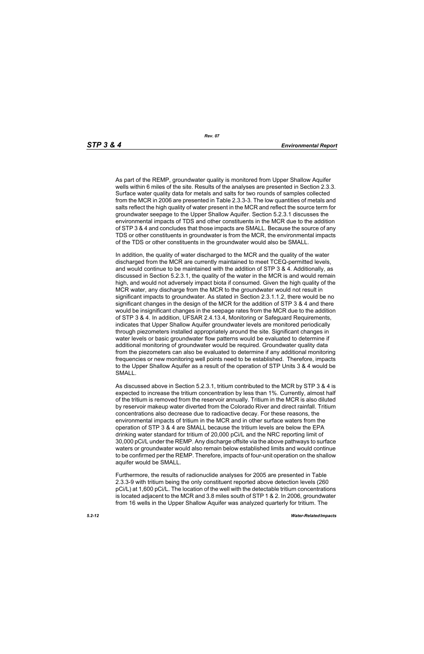*Rev. 07*

As part of the REMP, groundwater quality is monitored from Upper Shallow Aquifer wells within 6 miles of the site. Results of the analyses are presented in Section 2.3.3. Surface water quality data for metals and salts for two rounds of samples collected from the MCR in 2006 are presented in Table 2.3.3-3. The low quantities of metals and salts reflect the high quality of water present in the MCR and reflect the source term for groundwater seepage to the Upper Shallow Aquifer. Section 5.2.3.1 discusses the environmental impacts of TDS and other constituents in the MCR due to the addition of STP 3 & 4 and concludes that those impacts are SMALL. Because the source of any TDS or other constituents in groundwater is from the MCR, the environmental impacts of the TDS or other constituents in the groundwater would also be SMALL.

In addition, the quality of water discharged to the MCR and the quality of the water discharged from the MCR are currently maintained to meet TCEQ-permitted levels, and would continue to be maintained with the addition of STP 3 & 4. Additionally, as discussed in Section 5.2.3.1, the quality of the water in the MCR is and would remain high, and would not adversely impact biota if consumed. Given the high quality of the MCR water, any discharge from the MCR to the groundwater would not result in significant impacts to groundwater. As stated in Section 2.3.1.1.2, there would be no significant changes in the design of the MCR for the addition of STP 3 & 4 and there would be insignificant changes in the seepage rates from the MCR due to the addition of STP 3 & 4. In addition, UFSAR 2.4.13.4, Monitoring or Safeguard Requirements, indicates that Upper Shallow Aquifer groundwater levels are monitored periodically through piezometers installed appropriately around the site. Significant changes in water levels or basic groundwater flow patterns would be evaluated to determine if additional monitoring of groundwater would be required. Groundwater quality data from the piezometers can also be evaluated to determine if any additional monitoring frequencies or new monitoring well points need to be established. Therefore, impacts to the Upper Shallow Aquifer as a result of the operation of STP Units 3 & 4 would be SMALL.

As discussed above in Section 5.2.3.1, tritium contributed to the MCR by STP 3 & 4 is expected to increase the tritium concentration by less than 1%. Currently, almost half of the tritium is removed from the reservoir annually. Tritium in the MCR is also diluted by reservoir makeup water diverted from the Colorado River and direct rainfall. Tritium concentrations also decrease due to radioactive decay. For these reasons, the environmental impacts of tritium in the MCR and in other surface waters from the operation of STP 3 & 4 are SMALL because the tritium levels are below the EPA drinking water standard for tritium of 20,000 pCi/L and the NRC reporting limit of 30,000 pCi/L under the REMP. Any discharge offsite via the above pathways to surface waters or groundwater would also remain below established limits and would continue to be confirmed per the REMP. Therefore, impacts of four-unit operation on the shallow aquifer would be SMALL.

Furthermore, the results of radionuclide analyses for 2005 are presented in Table 2.3.3-9 with tritium being the only constituent reported above detection levels (260 pCi/L) at 1,600 pCi/L. The location of the well with the detectable tritium concentrations is located adjacent to the MCR and 3.8 miles south of STP 1 & 2. In 2006, groundwater from 16 wells in the Upper Shallow Aquifer was analyzed quarterly for tritium. The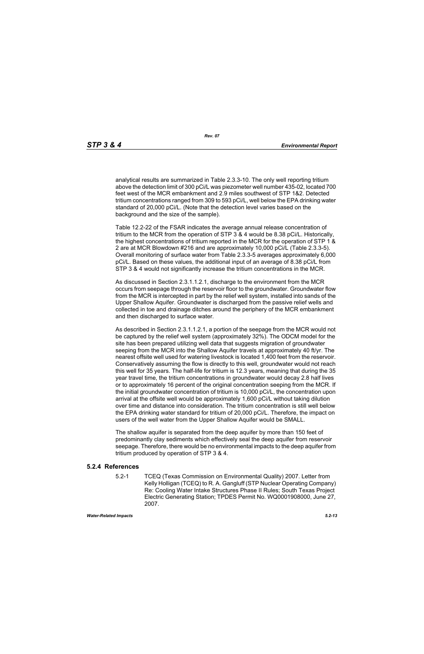*Rev. 07*

analytical results are summarized in Table 2.3.3-10. The only well reporting tritium above the detection limit of 300 pCi/L was piezometer well number 435-02, located 700 feet west of the MCR embankment and 2.9 miles southwest of STP 1&2. Detected tritium concentrations ranged from 309 to 593 pCi/L, well below the EPA drinking water standard of 20,000 pCi/L. (Note that the detection level varies based on the background and the size of the sample).

Table 12.2-22 of the FSAR indicates the average annual release concentration of tritium to the MCR from the operation of STP 3 & 4 would be 8.38 pCi/L. Historically, the highest concentrations of tritium reported in the MCR for the operation of STP 1 & 2 are at MCR Blowdown #216 and are approximately 10,000 pCi/L (Table 2.3.3-5). Overall monitoring of surface water from Table 2.3.3-5 averages approximately 6,000 pCi/L. Based on these values, the additional input of an average of 8.38 pCi/L from STP 3 & 4 would not significantly increase the tritium concentrations in the MCR.

As discussed in Section 2.3.1.1.2.1, discharge to the environment from the MCR occurs from seepage through the reservoir floor to the groundwater. Groundwater flow from the MCR is intercepted in part by the relief well system, installed into sands of the Upper Shallow Aquifer. Groundwater is discharged from the passive relief wells and collected in toe and drainage ditches around the periphery of the MCR embankment and then discharged to surface water.

As described in Section 2.3.1.1.2.1, a portion of the seepage from the MCR would not be captured by the relief well system (approximately 32%). The ODCM model for the site has been prepared utilizing well data that suggests migration of groundwater seeping from the MCR into the Shallow Aquifer travels at approximately 40 ft/yr. The nearest offsite well used for watering livestock is located 1,400 feet from the reservoir. Conservatively assuming the flow is directly to this well, groundwater would not reach this well for 35 years. The half-life for tritium is 12.3 years, meaning that during the 35 year travel time, the tritium concentrations in groundwater would decay 2.8 half lives or to approximately 16 percent of the original concentration seeping from the MCR. If the initial groundwater concentration of tritium is 10,000 pCi/L, the concentration upon arrival at the offsite well would be approximately 1,600 pCi/L without taking dilution over time and distance into consideration. The tritium concentration is still well below the EPA drinking water standard for tritium of 20,000 pCi/L. Therefore, the impact on users of the well water from the Upper Shallow Aquifer would be SMALL.

The shallow aquifer is separated from the deep aquifer by more than 150 feet of predominantly clay sediments which effectively seal the deep aquifer from reservoir seepage. Therefore, there would be no environmental impacts to the deep aquifer from tritium produced by operation of STP 3 & 4.

#### **5.2.4 References**

5.2-1 TCEQ (Texas Commission on Environmental Quality) 2007. Letter from Kelly Holligan (TCEQ) to R. A. Gangluff (STP Nuclear Operating Company) Re: Cooling Water Intake Structures Phase II Rules; South Texas Project Electric Generating Station; TPDES Permit No. WQ0001908000, June 27, 2007.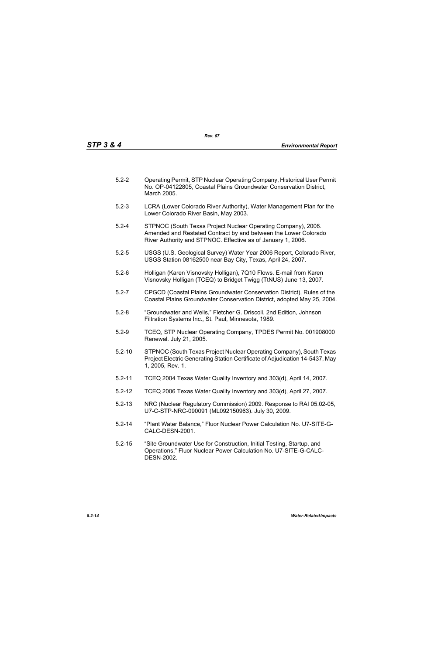| $5.2 - 2$ | Operating Permit, STP Nuclear Operating Company, Historical User Permit<br>No. OP-04122805, Coastal Plains Groundwater Conservation District,<br>March 2005. |
|-----------|--------------------------------------------------------------------------------------------------------------------------------------------------------------|
|-----------|--------------------------------------------------------------------------------------------------------------------------------------------------------------|

- 5.2-3 LCRA (Lower Colorado River Authority), Water Management Plan for the Lower Colorado River Basin, May 2003.
- 5.2-4 STPNOC (South Texas Project Nuclear Operating Company), 2006. Amended and Restated Contract by and between the Lower Colorado River Authority and STPNOC. Effective as of January 1, 2006.
- 5.2-5 USGS (U.S. Geological Survey) Water Year 2006 Report, Colorado River, USGS Station 08162500 near Bay City, Texas, April 24, 2007.
- 5.2-6 Holligan (Karen Visnovsky Holligan), 7Q10 Flows. E-mail from Karen Visnovsky Holligan (TCEQ) to Bridget Twigg (TtNUS) June 13, 2007.
- 5.2-7 CPGCD (Coastal Plains Groundwater Conservation District), Rules of the Coastal Plains Groundwater Conservation District, adopted May 25, 2004.
- 5.2-8 "Groundwater and Wells," Fletcher G. Driscoll, 2nd Edition, Johnson Filtration Systems Inc., St. Paul, Minnesota, 1989.
- 5.2-9 TCEQ, STP Nuclear Operating Company, TPDES Permit No. 001908000 Renewal. July 21, 2005.
- 5.2-10 STPNOC (South Texas Project Nuclear Operating Company), South Texas Project Electric Generating Station Certificate of Adjudication 14-5437, May 1, 2005, Rev. 1.
- 5.2-11 TCEQ 2004 Texas Water Quality Inventory and 303(d), April 14, 2007.
- 5.2-12 TCEQ 2006 Texas Water Quality Inventory and 303(d), April 27, 2007.
- 5.2-13 NRC (Nuclear Regulatory Commission) 2009. Response to RAI 05.02-05, U7-C-STP-NRC-090091 (ML092150963). July 30, 2009.
- 5.2-14 "Plant Water Balance," Fluor Nuclear Power Calculation No. U7-SITE-G-CALC-DESN-2001.
- 5.2-15 "Site Groundwater Use for Construction, Initial Testing, Startup, and Operations," Fluor Nuclear Power Calculation No. U7-SITE-G-CALC-DESN-2002.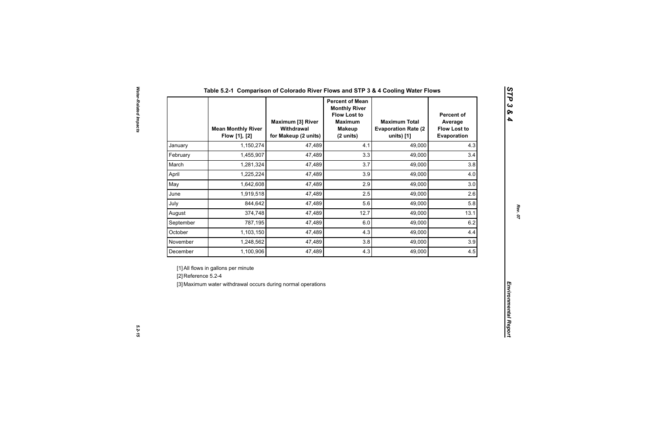|                     | <b>Mean Monthly River</b><br>Flow [1], [2]                                                          | <b>Maximum [3] River</b><br>Withdrawal<br>for Makeup (2 units) | <b>Percent of Mean</b><br><b>Monthly River</b><br><b>Flow Lost to</b><br><b>Maximum</b><br><b>Makeup</b><br>(2 units) | <b>Maximum Total</b><br><b>Evaporation Rate (2)</b><br>units) [1] | <b>Percent of</b><br>Average<br><b>Flow Lost to</b><br>Evaporation |  |
|---------------------|-----------------------------------------------------------------------------------------------------|----------------------------------------------------------------|-----------------------------------------------------------------------------------------------------------------------|-------------------------------------------------------------------|--------------------------------------------------------------------|--|
| January             | 1,150,274                                                                                           | 47,489                                                         | 4.1                                                                                                                   | 49,000                                                            | 4.3                                                                |  |
| February            | 1,455,907                                                                                           | 47,489                                                         | 3.3                                                                                                                   | 49,000                                                            | 3.4                                                                |  |
| March               | 1,281,324                                                                                           | 47,489                                                         | 3.7                                                                                                                   | 49,000                                                            | 3.8                                                                |  |
| April               | 1,225,224                                                                                           | 47,489                                                         | 3.9                                                                                                                   | 49,000                                                            | 4.0                                                                |  |
| May                 | 1,642,608                                                                                           | 47,489                                                         | 2.9                                                                                                                   | 49,000                                                            | 3.0                                                                |  |
| June                | 1,919,518                                                                                           | 47,489                                                         | 2.5                                                                                                                   | 49,000                                                            | 2.6                                                                |  |
| July                | 844,642                                                                                             | 47,489                                                         | 5.6                                                                                                                   | 49,000                                                            | 5.8                                                                |  |
| August              | 374,748                                                                                             | 47,489                                                         | 12.7                                                                                                                  | 49,000                                                            | 13.1                                                               |  |
| September           | 787,195                                                                                             | 47,489                                                         | 6.0                                                                                                                   | 49,000                                                            | 6.2                                                                |  |
| October             | 1,103,150                                                                                           | 47,489                                                         | 4.3                                                                                                                   | 49,000                                                            | 4.4                                                                |  |
| November            | 1,248,562                                                                                           | 47,489                                                         | 3.8                                                                                                                   | 49,000                                                            | 3.9                                                                |  |
| December            | 1,100,906                                                                                           | 47,489                                                         | 4.3                                                                                                                   | 49,000                                                            | 4.5                                                                |  |
| [2] Reference 5.2-4 | [1] All flows in gallons per minute<br>[3] Maximum water withdrawal occurs during normal operations |                                                                |                                                                                                                       |                                                                   |                                                                    |  |

*STP 3 & 4*